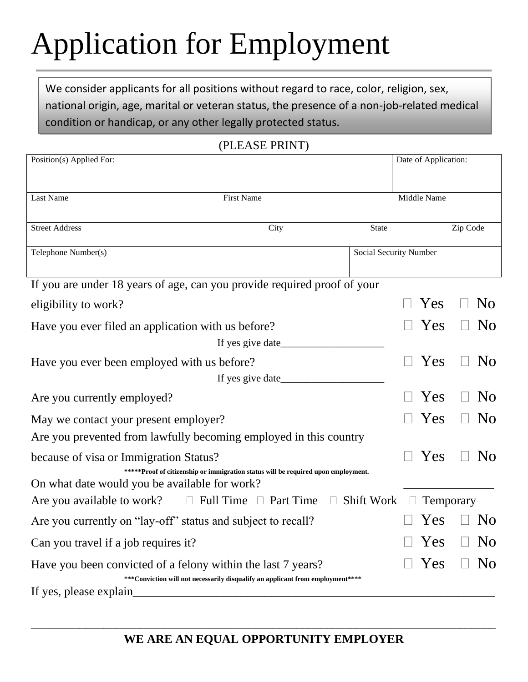# Application for Employment

We consider applicants for all positions without regard to race, color, religion, sex, national origin, age, marital or veteran status, the presence of a non-job-related medical condition or handicap, or any other legally protected status.

| Position(s) Applied For:                                                 |                                                                                   |                        | Date of Application: |           |          |                |
|--------------------------------------------------------------------------|-----------------------------------------------------------------------------------|------------------------|----------------------|-----------|----------|----------------|
|                                                                          |                                                                                   |                        |                      |           |          |                |
| Last Name                                                                | <b>First Name</b>                                                                 |                        | Middle Name          |           |          |                |
| <b>Street Address</b>                                                    | City                                                                              | <b>State</b>           |                      |           | Zip Code |                |
| Telephone Number(s)                                                      |                                                                                   | Social Security Number |                      |           |          |                |
| If you are under 18 years of age, can you provide required proof of your |                                                                                   |                        |                      |           |          |                |
| eligibility to work?                                                     |                                                                                   |                        |                      | Yes       |          | N <sub>0</sub> |
| Have you ever filed an application with us before?                       |                                                                                   |                        |                      | Yes       |          | N <sub>0</sub> |
|                                                                          |                                                                                   |                        |                      |           |          |                |
| Have you ever been employed with us before?                              |                                                                                   |                        |                      | Yes       |          | N <sub>0</sub> |
|                                                                          |                                                                                   |                        |                      |           |          |                |
| Are you currently employed?                                              |                                                                                   |                        |                      | Yes       |          | N <sub>0</sub> |
| May we contact your present employer?                                    |                                                                                   |                        |                      | Yes       |          | N <sub>0</sub> |
| Are you prevented from lawfully becoming employed in this country        |                                                                                   |                        |                      |           |          |                |
| because of visa or Immigration Status?                                   |                                                                                   |                        |                      | Yes       |          | N <sub>0</sub> |
| On what date would you be available for work?                            | *****Proof of citizenship or immigration status will be required upon employment. |                        |                      |           |          |                |
| Are you available to work?                                               | $\Box$ Full Time $\Box$ Part Time                                                 | <b>Shift Work</b>      |                      | Temporary |          |                |
| Are you currently on "lay-off" status and subject to recall?             |                                                                                   |                        |                      | Yes       |          | N <sub>0</sub> |
| Can you travel if a job requires it?                                     |                                                                                   |                        |                      | Yes       |          | <b>No</b>      |
|                                                                          |                                                                                   |                        |                      |           |          |                |
| Have you been convicted of a felony within the last 7 years?             | *** Conviction will not necessarily disqualify an applicant from employment****   |                        |                      | Yes       |          | N <sub>0</sub> |
| If yes, please explain                                                   |                                                                                   |                        |                      |           |          |                |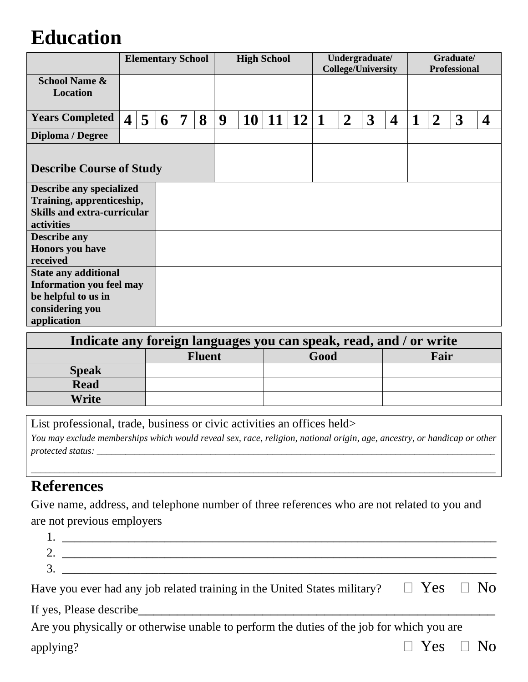## **Education**

|                                                                               | <b>Elementary School</b> |   |   | <b>High School</b> |   |   | Undergraduate/<br><b>College/University</b> |    |    | Graduate/<br><b>Professional</b> |                |   |                         |   |                |   |   |
|-------------------------------------------------------------------------------|--------------------------|---|---|--------------------|---|---|---------------------------------------------|----|----|----------------------------------|----------------|---|-------------------------|---|----------------|---|---|
| <b>School Name &amp;</b><br><b>Location</b>                                   |                          |   |   |                    |   |   |                                             |    |    |                                  |                |   |                         |   |                |   |   |
| <b>Years Completed</b>                                                        | $\overline{4}$           | 5 | 6 | 7                  | 8 | 9 | <b>10</b>                                   | 11 | 12 | 1                                | $\overline{2}$ | 3 | $\overline{\mathbf{4}}$ | 1 | $\overline{2}$ | 3 | 4 |
| Diploma / Degree                                                              |                          |   |   |                    |   |   |                                             |    |    |                                  |                |   |                         |   |                |   |   |
| <b>Describe Course of Study</b>                                               |                          |   |   |                    |   |   |                                             |    |    |                                  |                |   |                         |   |                |   |   |
| <b>Describe any specialized</b>                                               |                          |   |   |                    |   |   |                                             |    |    |                                  |                |   |                         |   |                |   |   |
| Training, apprenticeship,<br><b>Skills and extra-curricular</b><br>activities |                          |   |   |                    |   |   |                                             |    |    |                                  |                |   |                         |   |                |   |   |
| <b>Describe any</b>                                                           |                          |   |   |                    |   |   |                                             |    |    |                                  |                |   |                         |   |                |   |   |
| <b>Honors</b> you have<br>received                                            |                          |   |   |                    |   |   |                                             |    |    |                                  |                |   |                         |   |                |   |   |
| <b>State any additional</b>                                                   |                          |   |   |                    |   |   |                                             |    |    |                                  |                |   |                         |   |                |   |   |
| <b>Information you feel may</b><br>be helpful to us in                        |                          |   |   |                    |   |   |                                             |    |    |                                  |                |   |                         |   |                |   |   |
| considering you                                                               |                          |   |   |                    |   |   |                                             |    |    |                                  |                |   |                         |   |                |   |   |
| application                                                                   |                          |   |   |                    |   |   |                                             |    |    |                                  |                |   |                         |   |                |   |   |

| Indicate any foreign languages you can speak, read, and / or write |               |      |      |  |  |  |  |  |  |
|--------------------------------------------------------------------|---------------|------|------|--|--|--|--|--|--|
|                                                                    | <b>Fluent</b> | Good | Fair |  |  |  |  |  |  |
| <b>Speak</b>                                                       |               |      |      |  |  |  |  |  |  |
| <b>Read</b>                                                        |               |      |      |  |  |  |  |  |  |
| Write                                                              |               |      |      |  |  |  |  |  |  |

List professional, trade, business or civic activities an offices held> *You may exclude memberships which would reveal sex, race, religion, national origin, age, ancestry, or handicap or other protected status: \_\_\_\_\_\_\_\_\_\_\_\_\_\_\_\_\_\_\_\_\_\_\_\_\_\_\_\_\_\_\_\_\_\_\_\_\_\_\_\_\_\_\_\_\_\_\_\_\_\_\_\_\_\_\_\_\_\_\_\_\_\_\_\_\_\_\_\_\_\_\_\_\_\_\_\_\_\_\_\_\_\_\_\_*

*\_\_\_\_\_\_\_\_\_\_\_\_\_\_\_\_\_\_\_\_\_\_\_\_\_\_\_\_\_\_\_\_\_\_\_\_\_\_\_\_\_\_\_\_\_\_\_\_\_\_\_\_\_\_\_\_\_\_\_\_\_\_\_\_\_\_\_\_\_\_\_\_\_\_\_\_\_\_\_\_\_\_\_\_\_\_\_\_\_\_\_\_\_\_\_\_\_\_*

### **References**

Give name, address, and telephone number of three references who are not related to you and are not previous employers

| <b>.</b> |  |
|----------|--|
| <u>.</u> |  |
| . .      |  |

| Have you ever had any job related training in the United States military? $\Box$ Yes $\Box$ No |
|------------------------------------------------------------------------------------------------|
|------------------------------------------------------------------------------------------------|

If yes, Please describe\_\_\_\_\_\_\_\_\_\_\_\_\_\_\_\_\_\_\_\_\_\_\_\_\_\_\_\_\_\_\_\_\_\_\_\_\_\_\_\_\_\_\_\_\_\_

| Are you physically or otherwise unable to perform the duties of the job for which you are |  |                      |
|-------------------------------------------------------------------------------------------|--|----------------------|
| applying?                                                                                 |  | $\Box$ Yes $\Box$ No |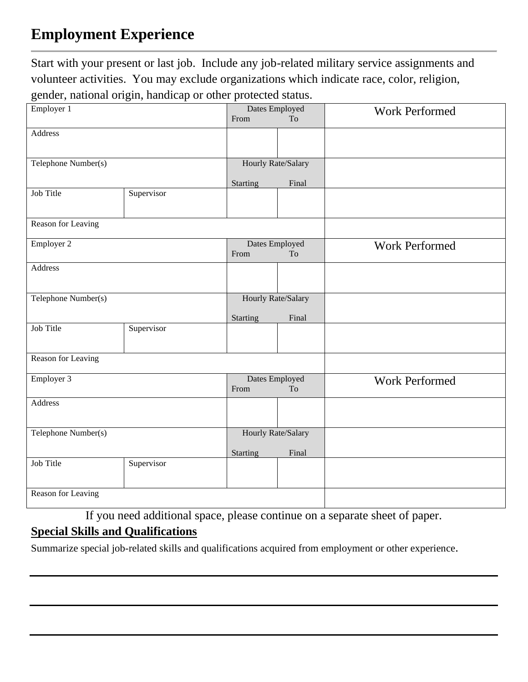## **Employment Experience**

Start with your present or last job. Include any job-related military service assignments and volunteer activities. You may exclude organizations which indicate race, color, religion, gender, national origin, handicap or other protected status.

| Employer 1          |            |          | Dates Employed     | <b>Work Performed</b> |
|---------------------|------------|----------|--------------------|-----------------------|
|                     |            | From     | To                 |                       |
| <b>Address</b>      |            |          |                    |                       |
|                     |            |          |                    |                       |
|                     |            |          |                    |                       |
| Telephone Number(s) |            |          | Hourly Rate/Salary |                       |
|                     |            |          |                    |                       |
|                     |            | Starting | Final              |                       |
| Job Title           | Supervisor |          |                    |                       |
|                     |            |          |                    |                       |
|                     |            |          |                    |                       |
| Reason for Leaving  |            |          |                    |                       |
|                     |            |          |                    |                       |
| Employer 2          |            |          | Dates Employed     | Work Performed        |
|                     |            | From     | To                 |                       |
| Address             |            |          |                    |                       |
|                     |            |          |                    |                       |
|                     |            |          |                    |                       |
| Telephone Number(s) |            |          | Hourly Rate/Salary |                       |
|                     |            |          |                    |                       |
|                     |            | Starting | Final              |                       |
| Job Title           | Supervisor |          |                    |                       |
|                     |            |          |                    |                       |
|                     |            |          |                    |                       |
| Reason for Leaving  |            |          |                    |                       |
|                     |            |          |                    |                       |
| Employer 3          |            |          | Dates Employed     | Work Performed        |
|                     |            | From     | To                 |                       |
| Address             |            |          |                    |                       |
|                     |            |          |                    |                       |
|                     |            |          |                    |                       |
| Telephone Number(s) |            |          | Hourly Rate/Salary |                       |
|                     |            |          |                    |                       |
|                     |            | Starting | Final              |                       |
| Job Title           | Supervisor |          |                    |                       |
|                     |            |          |                    |                       |
|                     |            |          |                    |                       |
| Reason for Leaving  |            |          |                    |                       |
|                     |            |          |                    |                       |

If you need additional space, please continue on a separate sheet of paper.

#### **Special Skills and Qualifications**

Summarize special job-related skills and qualifications acquired from employment or other experience.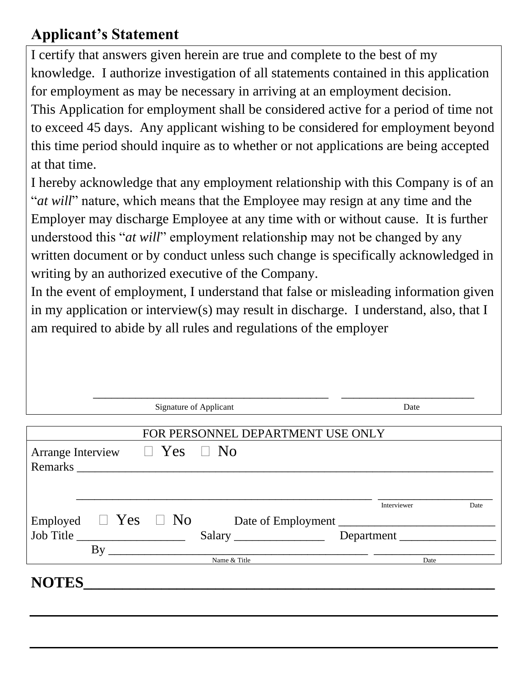## **Applicant's Statement**

I certify that answers given herein are true and complete to the best of my knowledge. I authorize investigation of all statements contained in this application for employment as may be necessary in arriving at an employment decision.

This Application for employment shall be considered active for a period of time not to exceed 45 days. Any applicant wishing to be considered for employment beyond this time period should inquire as to whether or not applications are being accepted at that time.

I hereby acknowledge that any employment relationship with this Company is of an "*at will*" nature, which means that the Employee may resign at any time and the Employer may discharge Employee at any time with or without cause. It is further understood this "*at will*" employment relationship may not be changed by any written document or by conduct unless such change is specifically acknowledged in writing by an authorized executive of the Company.

In the event of employment, I understand that false or misleading information given in my application or interview(s) may result in discharge. I understand, also, that I am required to abide by all rules and regulations of the employer

|                               | Signature of Applicant            | Date               |      |
|-------------------------------|-----------------------------------|--------------------|------|
|                               |                                   |                    |      |
|                               | FOR PERSONNEL DEPARTMENT USE ONLY |                    |      |
| <b>Arrange Interview</b>      | $\Box$ Yes $\Box$ No              |                    |      |
|                               | Remarks                           |                    |      |
|                               |                                   |                    |      |
|                               |                                   |                    |      |
|                               |                                   | Interviewer        | Date |
| Employed $\Box$ Yes $\Box$ No |                                   | Date of Employment |      |
|                               |                                   | Department         |      |
| By                            |                                   |                    |      |
|                               | Name & Title                      | Date               |      |
|                               |                                   |                    |      |
| <b>NOTES</b>                  |                                   |                    |      |